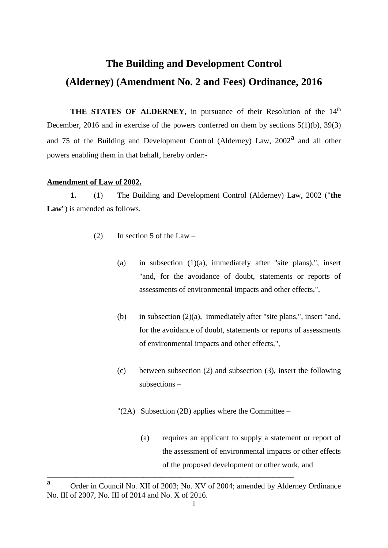# **The Building and Development Control (Alderney) (Amendment No. 2 and Fees) Ordinance, 2016**

**THE STATES OF ALDERNEY**, in pursuance of their Resolution of the 14<sup>th</sup> December, 2016 and in exercise of the powers conferred on them by sections 5(1)(b), 39(3) and 75 of the Building and Development Control (Alderney) Law, 2002**<sup>a</sup>** and all other powers enabling them in that behalf, hereby order:-

## **Amendment of Law of 2002.**

**1.** (1) The Building and Development Control (Alderney) Law, 2002 ("**the Law**") is amended as follows.

- (2) In section 5 of the Law
	- (a) in subsection (1)(a), immediately after "site plans),", insert "and, for the avoidance of doubt, statements or reports of assessments of environmental impacts and other effects,",
	- (b) in subsection  $(2)(a)$ , immediately after "site plans,", insert "and, for the avoidance of doubt, statements or reports of assessments of environmental impacts and other effects,",
	- (c) between subsection (2) and subsection (3), insert the following subsections –
	- $''(2A)$  Subsection (2B) applies where the Committee
		- (a) requires an applicant to supply a statement or report of the assessment of environmental impacts or other effects of the proposed development or other work, and

\_\_\_\_\_\_\_\_\_\_\_\_\_\_\_\_\_\_\_\_\_\_\_\_\_\_\_\_\_\_\_\_\_\_\_\_\_\_\_\_\_\_\_\_\_\_\_\_\_\_\_\_\_\_\_\_\_\_\_\_\_\_\_\_\_\_\_\_\_

**<sup>a</sup>** Order in Council No. XII of 2003; No. XV of 2004; amended by Alderney Ordinance No. III of 2007, No. III of 2014 and No. X of 2016.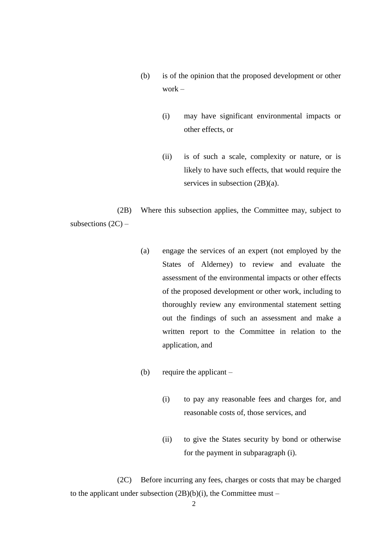- (b) is of the opinion that the proposed development or other work –
	- (i) may have significant environmental impacts or other effects, or
	- (ii) is of such a scale, complexity or nature, or is likely to have such effects, that would require the services in subsection (2B)(a).

(2B) Where this subsection applies, the Committee may, subject to subsections  $(2C)$  –

- (a) engage the services of an expert (not employed by the States of Alderney) to review and evaluate the assessment of the environmental impacts or other effects of the proposed development or other work, including to thoroughly review any environmental statement setting out the findings of such an assessment and make a written report to the Committee in relation to the application, and
- (b) require the applicant
	- (i) to pay any reasonable fees and charges for, and reasonable costs of, those services, and
	- (ii) to give the States security by bond or otherwise for the payment in subparagraph (i).

(2C) Before incurring any fees, charges or costs that may be charged to the applicant under subsection  $(2B)(b)(i)$ , the Committee must –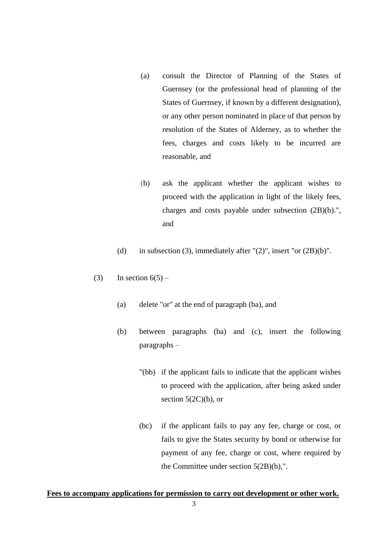- (a) consult the Director of Planning of the States of Guernsey (or the professional head of planning of the States of Guernsey, if known by a different designation), or any other person nominated in place of that person by resolution of the States of Alderney, as to whether the fees, charges and costs likely to be incurred are reasonable, and
- (b) ask the applicant whether the applicant wishes to proceed with the application in light of the likely fees, charges and costs payable under subsection (2B)(b).", and
- (d) in subsection (3), immediately after  $"(2)"$ , insert "or  $(2B)(b)"$ .
- (3) In section  $6(5)$ 
	- (a) delete "or" at the end of paragraph (ba), and
	- (b) between paragraphs (ba) and (c), insert the following paragraphs –
		- "(bb) if the applicant fails to indicate that the applicant wishes to proceed with the application, after being asked under section  $5(2C)(b)$ , or
		- (bc) if the applicant fails to pay any fee, charge or cost, or fails to give the States security by bond or otherwise for payment of any fee, charge or cost, where required by the Committee under section 5(2B)(b),".

#### **Fees to accompany applications for permission to carry out development or other work.**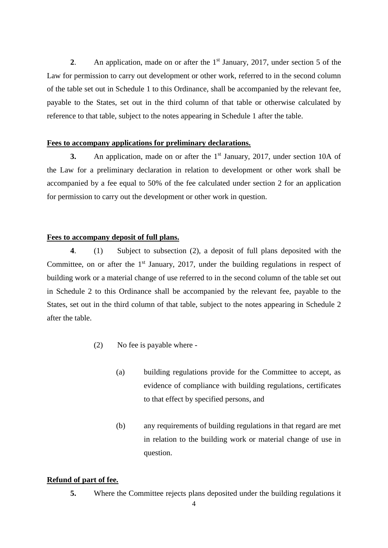**2**. An application, made on or after the 1 st January, 2017, under section 5 of the Law for permission to carry out development or other work, referred to in the second column of the table set out in Schedule 1 to this Ordinance, shall be accompanied by the relevant fee, payable to the States, set out in the third column of that table or otherwise calculated by reference to that table, subject to the notes appearing in Schedule 1 after the table.

#### **Fees to accompany applications for preliminary declarations.**

**3.** An application, made on or after the 1<sup>st</sup> January, 2017, under section 10A of the Law for a preliminary declaration in relation to development or other work shall be accompanied by a fee equal to 50% of the fee calculated under section 2 for an application for permission to carry out the development or other work in question.

#### **Fees to accompany deposit of full plans.**

**4**. (1) Subject to subsection (2), a deposit of full plans deposited with the Committee, on or after the  $1<sup>st</sup>$  January, 2017, under the building regulations in respect of building work or a material change of use referred to in the second column of the table set out in Schedule 2 to this Ordinance shall be accompanied by the relevant fee, payable to the States, set out in the third column of that table, subject to the notes appearing in Schedule 2 after the table.

- (2) No fee is payable where
	- (a) building regulations provide for the Committee to accept, as evidence of compliance with building regulations, certificates to that effect by specified persons, and
	- (b) any requirements of building regulations in that regard are met in relation to the building work or material change of use in question.

#### **Refund of part of fee.**

**5.** Where the Committee rejects plans deposited under the building regulations it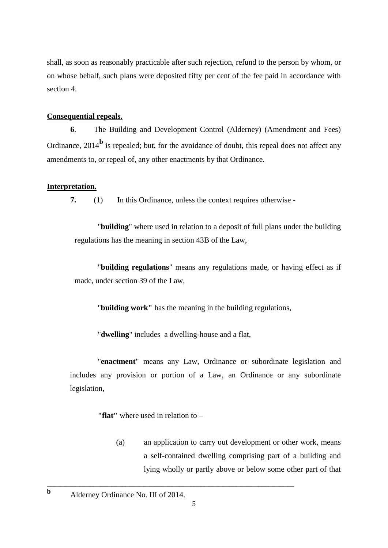shall, as soon as reasonably practicable after such rejection, refund to the person by whom, or on whose behalf, such plans were deposited fifty per cent of the fee paid in accordance with section 4.

#### **Consequential repeals.**

**6**. The Building and Development Control (Alderney) (Amendment and Fees) Ordinance, 2014<sup>b</sup> is repealed; but, for the avoidance of doubt, this repeal does not affect any amendments to, or repeal of, any other enactments by that Ordinance.

## **Interpretation.**

**7.** (1) In this Ordinance, unless the context requires otherwise -

"**building**" where used in relation to a deposit of full plans under the building regulations has the meaning in section 43B of the Law,

"**building regulations**" means any regulations made, or having effect as if made, under section 39 of the Law,

"**building work"** has the meaning in the building regulations,

"**dwelling**" includes a dwelling-house and a flat,

"**enactment**" means any Law, Ordinance or subordinate legislation and includes any provision or portion of a Law, an Ordinance or any subordinate legislation,

**"flat"** where used in relation to –

(a) an application to carry out development or other work, means a self-contained dwelling comprising part of a building and lying wholly or partly above or below some other part of that

\_\_\_\_\_\_\_\_\_\_\_\_\_\_\_\_\_\_\_\_\_\_\_\_\_\_\_\_\_\_\_\_\_\_\_\_\_\_\_\_\_\_\_\_\_\_\_\_\_\_\_\_\_\_\_\_\_\_\_\_\_\_\_\_\_\_\_\_\_

**b** Alderney Ordinance No. III of 2014.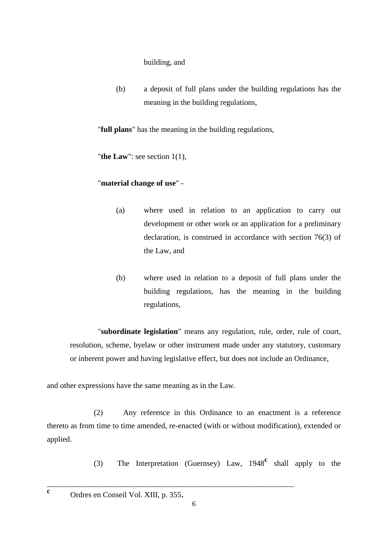building, and

(b) a deposit of full plans under the building regulations has the meaning in the building regulations,

"**full plans**" has the meaning in the building regulations,

"**the Law**": see section 1(1),

## "**material change of use**" -

- (a) where used in relation to an application to carry out development or other work or an application for a preliminary declaration, is construed in accordance with section 76(3) of the Law, and
- (b) where used in relation to a deposit of full plans under the building regulations, has the meaning in the building regulations,

"**subordinate legislation**" means any regulation, rule, order, rule of court, resolution, scheme, byelaw or other instrument made under any statutory, customary or inherent power and having legislative effect, but does not include an Ordinance,

and other expressions have the same meaning as in the Law.

(2) Any reference in this Ordinance to an enactment is a reference thereto as from time to time amended, re-enacted (with or without modification), extended or applied.

(3) The Interpretation (Guernsey) Law, 1948**<sup>c</sup>** shall apply to the

<sup>c</sup> Ordres en Conseil Vol. XIII, p. 355.

\_\_\_\_\_\_\_\_\_\_\_\_\_\_\_\_\_\_\_\_\_\_\_\_\_\_\_\_\_\_\_\_\_\_\_\_\_\_\_\_\_\_\_\_\_\_\_\_\_\_\_\_\_\_\_\_\_\_\_\_\_\_\_\_\_\_\_\_\_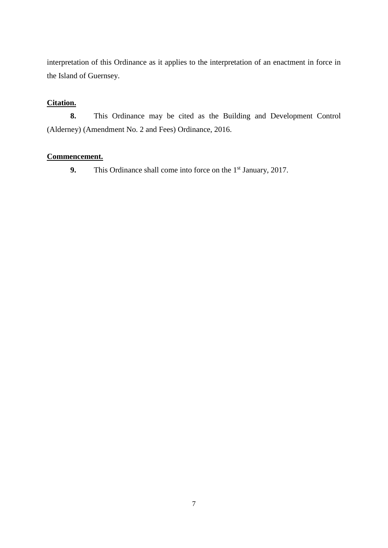interpretation of this Ordinance as it applies to the interpretation of an enactment in force in the Island of Guernsey.

## **Citation.**

**8.** This Ordinance may be cited as the Building and Development Control (Alderney) (Amendment No. 2 and Fees) Ordinance, 2016.

## **Commencement.**

**9.** This Ordinance shall come into force on the 1<sup>st</sup> January, 2017.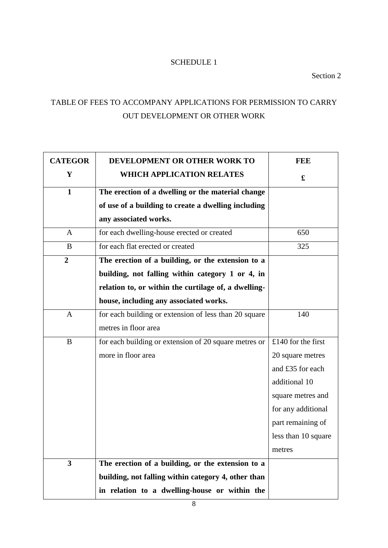## SCHEDULE 1

Section 2

## TABLE OF FEES TO ACCOMPANY APPLICATIONS FOR PERMISSION TO CARRY OUT DEVELOPMENT OR OTHER WORK

| <b>CATEGOR</b>          | DEVELOPMENT OR OTHER WORK TO                          | <b>FEE</b>           |
|-------------------------|-------------------------------------------------------|----------------------|
| Y                       | <b>WHICH APPLICATION RELATES</b>                      | $\mathbf f$          |
| $\mathbf{1}$            | The erection of a dwelling or the material change     |                      |
|                         | of use of a building to create a dwelling including   |                      |
|                         | any associated works.                                 |                      |
| A                       | for each dwelling-house erected or created            | 650                  |
| B                       | for each flat erected or created                      | 325                  |
| $\boldsymbol{2}$        | The erection of a building, or the extension to a     |                      |
|                         | building, not falling within category 1 or 4, in      |                      |
|                         | relation to, or within the curtilage of, a dwelling-  |                      |
|                         | house, including any associated works.                |                      |
| $\mathbf{A}$            | for each building or extension of less than 20 square | 140                  |
|                         | metres in floor area                                  |                      |
| B                       | for each building or extension of 20 square metres or | $£140$ for the first |
|                         | more in floor area                                    | 20 square metres     |
|                         |                                                       | and £35 for each     |
|                         |                                                       | additional 10        |
|                         |                                                       | square metres and    |
|                         |                                                       | for any additional   |
|                         |                                                       | part remaining of    |
|                         |                                                       | less than 10 square  |
|                         |                                                       | metres               |
| $\overline{\mathbf{3}}$ | The erection of a building, or the extension to a     |                      |
|                         | building, not falling within category 4, other than   |                      |
|                         | in relation to a dwelling-house or within the         |                      |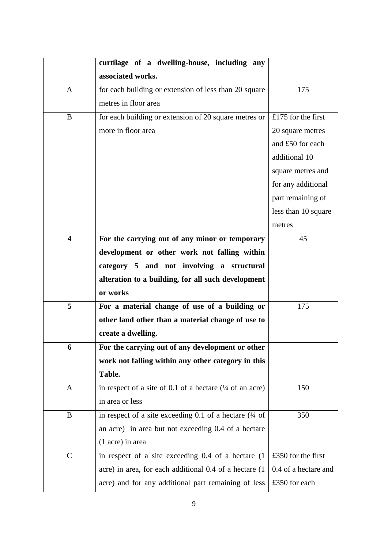|                         | curtilage of a dwelling-house, including any                      |                      |
|-------------------------|-------------------------------------------------------------------|----------------------|
|                         | associated works.                                                 |                      |
| $\mathbf{A}$            | for each building or extension of less than 20 square             | 175                  |
|                         | metres in floor area                                              |                      |
| B                       | for each building or extension of 20 square metres or             | £175 for the first   |
|                         | more in floor area                                                | 20 square metres     |
|                         |                                                                   | and £50 for each     |
|                         |                                                                   | additional 10        |
|                         |                                                                   | square metres and    |
|                         |                                                                   | for any additional   |
|                         |                                                                   | part remaining of    |
|                         |                                                                   | less than 10 square  |
|                         |                                                                   | metres               |
| $\overline{\mathbf{4}}$ | For the carrying out of any minor or temporary                    | 45                   |
|                         | development or other work not falling within                      |                      |
|                         | category 5 and not involving a structural                         |                      |
|                         | alteration to a building, for all such development                |                      |
|                         | or works                                                          |                      |
| 5                       | For a material change of use of a building or                     | 175                  |
|                         | other land other than a material change of use to                 |                      |
|                         | create a dwelling.                                                |                      |
| 6                       | For the carrying out of any development or other                  |                      |
|                         | work not falling within any other category in this                |                      |
|                         | Table.                                                            |                      |
| A                       | in respect of a site of 0.1 of a hectare $(1/4)$ of an acre)      | 150                  |
|                         | in area or less                                                   |                      |
| B                       | in respect of a site exceeding 0.1 of a hectare $(\frac{1}{4}$ of | 350                  |
|                         | an acre) in area but not exceeding 0.4 of a hectare               |                      |
|                         | (1 acre) in area                                                  |                      |
| $\mathcal{C}$           | in respect of a site exceeding 0.4 of a hectare (1                | £350 for the first   |
|                         | acre) in area, for each additional 0.4 of a hectare (1            | 0.4 of a hectare and |
|                         | acre) and for any additional part remaining of less               | £350 for each        |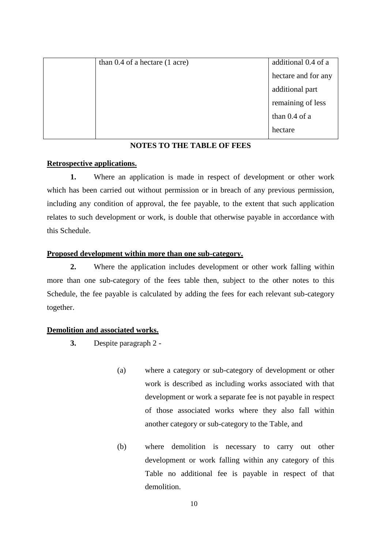| than $0.4$ of a hectare $(1 \text{ acre})$ | additional 0.4 of a |
|--------------------------------------------|---------------------|
|                                            | hectare and for any |
|                                            | additional part     |
|                                            | remaining of less   |
|                                            | than 0.4 of a       |
|                                            | hectare             |

#### **NOTES TO THE TABLE OF FEES**

#### **Retrospective applications.**

**1.** Where an application is made in respect of development or other work which has been carried out without permission or in breach of any previous permission, including any condition of approval, the fee payable, to the extent that such application relates to such development or work, is double that otherwise payable in accordance with this Schedule.

#### **Proposed development within more than one sub-category.**

**2.** Where the application includes development or other work falling within more than one sub-category of the fees table then, subject to the other notes to this Schedule, the fee payable is calculated by adding the fees for each relevant sub-category together.

#### **Demolition and associated works.**

- **3.** Despite paragraph 2
	- (a) where a category or sub-category of development or other work is described as including works associated with that development or work a separate fee is not payable in respect of those associated works where they also fall within another category or sub-category to the Table, and
	- (b) where demolition is necessary to carry out other development or work falling within any category of this Table no additional fee is payable in respect of that demolition.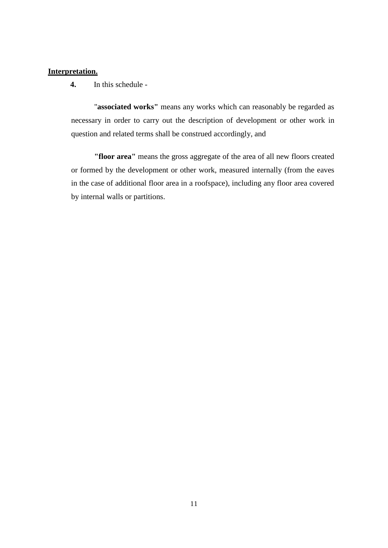#### **Interpretation.**

**4.** In this schedule -

"**associated works"** means any works which can reasonably be regarded as necessary in order to carry out the description of development or other work in question and related terms shall be construed accordingly, and

**"floor area"** means the gross aggregate of the area of all new floors created or formed by the development or other work, measured internally (from the eaves in the case of additional floor area in a roofspace), including any floor area covered by internal walls or partitions.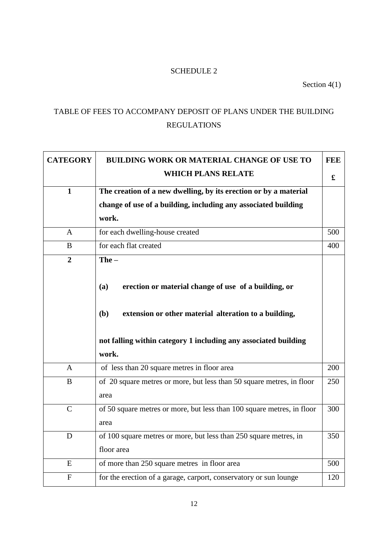## SCHEDULE 2

Section 4(1)

## TABLE OF FEES TO ACCOMPANY DEPOSIT OF PLANS UNDER THE BUILDING REGULATIONS

| <b>CATEGORY</b> | <b>BUILDING WORK OR MATERIAL CHANGE OF USE TO</b>                      | <b>FEE</b> |
|-----------------|------------------------------------------------------------------------|------------|
|                 | <b>WHICH PLANS RELATE</b>                                              | £          |
| $\mathbf{1}$    | The creation of a new dwelling, by its erection or by a material       |            |
|                 | change of use of a building, including any associated building         |            |
|                 | work.                                                                  |            |
| $\mathbf{A}$    | for each dwelling-house created                                        | 500        |
| B               | for each flat created                                                  | 400        |
| $\overline{2}$  | $The -$                                                                |            |
|                 |                                                                        |            |
|                 | erection or material change of use of a building, or<br>(a)            |            |
|                 |                                                                        |            |
|                 | (b)<br>extension or other material alteration to a building,           |            |
|                 |                                                                        |            |
|                 | not falling within category 1 including any associated building        |            |
|                 | work.                                                                  |            |
| $\mathbf{A}$    | of less than 20 square metres in floor area                            | 200        |
| B               | of 20 square metres or more, but less than 50 square metres, in floor  | 250        |
|                 | area                                                                   |            |
| $\mathbf C$     | of 50 square metres or more, but less than 100 square metres, in floor | 300        |
|                 | area                                                                   |            |
| D               | of 100 square metres or more, but less than 250 square metres, in      | 350        |
|                 | floor area                                                             |            |
| E               | of more than 250 square metres in floor area                           | 500        |
| ${\bf F}$       | for the erection of a garage, carport, conservatory or sun lounge      | 120        |
|                 |                                                                        |            |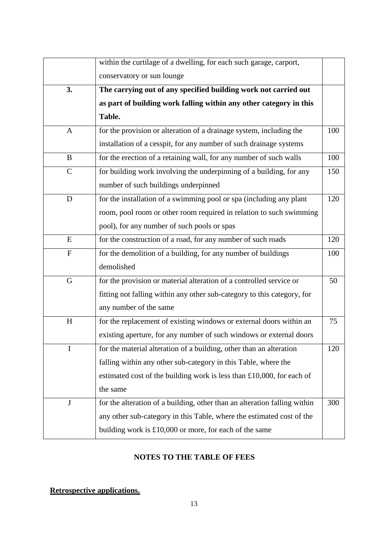|               | within the curtilage of a dwelling, for each such garage, carport,        |     |
|---------------|---------------------------------------------------------------------------|-----|
|               | conservatory or sun lounge                                                |     |
| 3.            | The carrying out of any specified building work not carried out           |     |
|               | as part of building work falling within any other category in this        |     |
|               | Table.                                                                    |     |
| $\mathbf{A}$  | for the provision or alteration of a drainage system, including the       | 100 |
|               | installation of a cesspit, for any number of such drainage systems        |     |
| B             | for the erection of a retaining wall, for any number of such walls        | 100 |
| $\mathcal{C}$ | for building work involving the underpinning of a building, for any       | 150 |
|               | number of such buildings underpinned                                      |     |
| D             | for the installation of a swimming pool or spa (including any plant       | 120 |
|               | room, pool room or other room required in relation to such swimming       |     |
|               | pool), for any number of such pools or spas                               |     |
| ${\bf E}$     | for the construction of a road, for any number of such roads              | 120 |
| ${\bf F}$     | for the demolition of a building, for any number of buildings             | 100 |
|               | demolished                                                                |     |
| G             | for the provision or material alteration of a controlled service or       | 50  |
|               | fitting not falling within any other sub-category to this category, for   |     |
|               | any number of the same                                                    |     |
| H             | for the replacement of existing windows or external doors within an       | 75  |
|               | existing aperture, for any number of such windows or external doors       |     |
| $\mathbf I$   | for the material alteration of a building, other than an alteration       | 120 |
|               | falling within any other sub-category in this Table, where the            |     |
|               | estimated cost of the building work is less than $£10,000$ , for each of  |     |
|               | the same                                                                  |     |
| $\mathbf{J}$  | for the alteration of a building, other than an alteration falling within | 300 |
|               | any other sub-category in this Table, where the estimated cost of the     |     |
|               | building work is $£10,000$ or more, for each of the same                  |     |

## **NOTES TO THE TABLE OF FEES**

## **Retrospective applications.**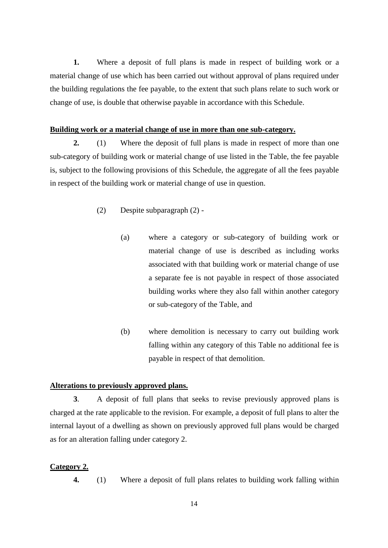**1.** Where a deposit of full plans is made in respect of building work or a material change of use which has been carried out without approval of plans required under the building regulations the fee payable, to the extent that such plans relate to such work or change of use, is double that otherwise payable in accordance with this Schedule.

#### **Building work or a material change of use in more than one sub-category.**

**2.** (1) Where the deposit of full plans is made in respect of more than one sub-category of building work or material change of use listed in the Table, the fee payable is, subject to the following provisions of this Schedule, the aggregate of all the fees payable in respect of the building work or material change of use in question.

- (2) Despite subparagraph (2)
	- (a) where a category or sub-category of building work or material change of use is described as including works associated with that building work or material change of use a separate fee is not payable in respect of those associated building works where they also fall within another category or sub-category of the Table, and
	- (b) where demolition is necessary to carry out building work falling within any category of this Table no additional fee is payable in respect of that demolition.

#### **Alterations to previously approved plans.**

**3**. A deposit of full plans that seeks to revise previously approved plans is charged at the rate applicable to the revision. For example, a deposit of full plans to alter the internal layout of a dwelling as shown on previously approved full plans would be charged as for an alteration falling under category 2.

#### **Category 2.**

**4.** (1) Where a deposit of full plans relates to building work falling within